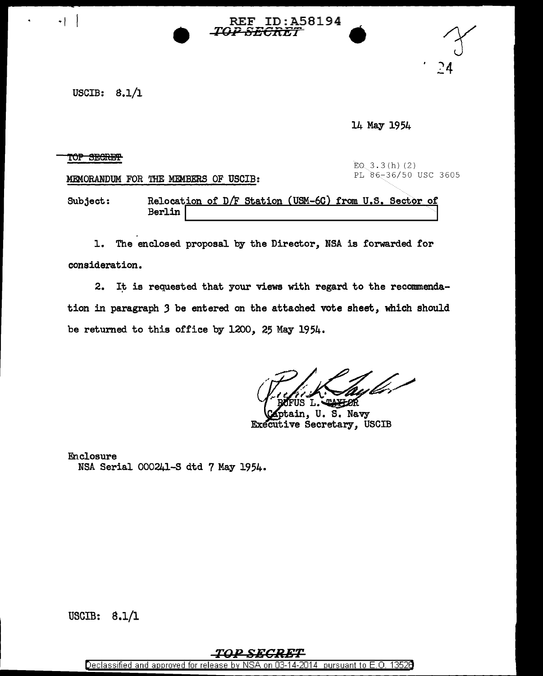USCIB:  $8.1/1$ 

14 May 1954

## TOP SECRET

MEMORANDUM FOR THE MEMBERS OF USCIB:

+ | REF ID:A58194<br>*TOP SECRET* 

EQ 3.3(h)(2)<br>PL 86-36/50 USC 3605

 $\frac{24}{24}$ 

Subject: Relocation of D/F Station (USM-6C) from U.S. Sector of Berlin

1. The enclosed proposal by the Director, NSA is forwarded for consideration.

2. It is requested that your views with regard to the recommendation in paragraph *3* be entered on the attached vote sheet, which should be returned to this office by 1200, 25 May 1954.

ain, U.S. Navy Executive Secretary, USCIB

Enclosure NSA Serial 000241-S dtd 7 May 1954.

USCIB: 8.1/l

## TOP SECRET

Declassified and approved for release by NSA on 03-14-2014 pursuant to E. 0. 1352B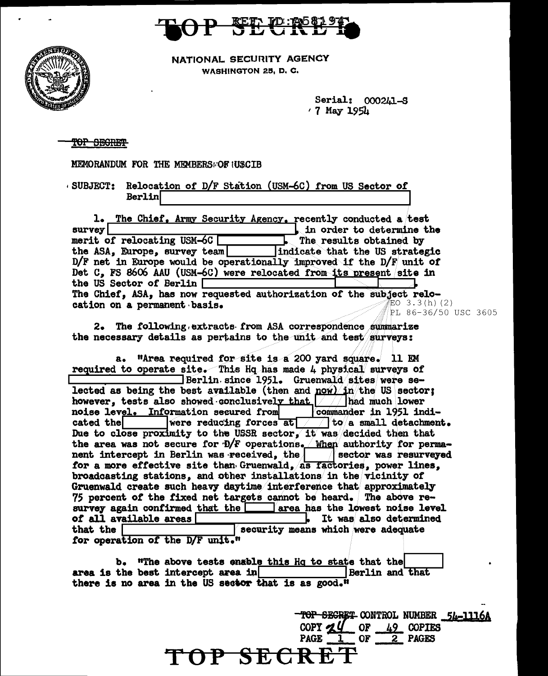

NATIONAL SECURITY AGENCY WASHINGTON 25, D. C.

> Serial: 000241-S  $\cdot$  7 May 1954

| V |  |
|---|--|
|   |  |
|   |  |

**ATTEN** 

TOP SEGRET

MEMORANDUM FOR THE MEMBERSFOR IUSCIB

SUBJECT: Relocation of D/F Station (USM-6C) from US Sector of Berlin

| 1. The Chief, Army Security Agency, recently conducted a test        |                                |
|----------------------------------------------------------------------|--------------------------------|
| survey                                                               | in order to determine the      |
| merit of relocating USM-6C                                           | The results obtained by        |
| the ASA, Europe, survey team                                         | indicate that the US strategic |
| D/F net in Europe would be operationally improved if the D/F unit of |                                |
| Det C. FS 8606 AAU (USM-6C) were relocated from its present site in  |                                |
| the US Sector of Berlin                                              |                                |
| The Chief, ASA, has now requested authorization of the subject relo- |                                |
| cation on a permanent basis.                                         | 第EO 3.3(h)(2)                  |
|                                                                      | <i>.▒</i> PL 86-36/50 USC 3605 |

2. The following extracts from ASA correspondence summarize the necessary details as pertains to the unit and test surveys:

a. "Area required for site is a 200 yard square. 11 EM required to operate site. This Hq has made 4 physical surveys of Berlin since 1951. Gruenwald sites were selected as being the best available (then and  $\frac{now}{in}/the$  US sector; however, tests also showed conclusively that /// had much lower noise level. Information secured from commander in 1951 indiwere reducing forces at  $\sqrt{\frac{1}{10}}$  to a small detachment. cated the Due to close proximity to the USSR sector, it was decided then that the area was not secure for D/F operations. When authority for permanent intercept in Berlin was received, the  $\sqrt{\phantom{a}}$  sector was resurveyed for a more effective site than Gruenwald, as factories, power lines, broadcasting stations, and other installations in the vicinity of Gruenwald create such heavy daytime interference that approximately 75 percent of the fixed net targets cannot be heard. The above resurvey again confirmed that the area has the lowest noise level of all available areas . It was also determined that the  $\Gamma$ security means which were adequate for operation of the D/F unit."

b. "The above tests enable this Hq to state that the area is the best intercept area in **Berlin and that** there is no area in the US sector that is as good."

> TOP SECRET CONTROL NUMBER 54-1116A  $-$  OF  $-$  49 COPIES COPY  $Zq$ **PAGE** 0F 2 PAGES P SECR